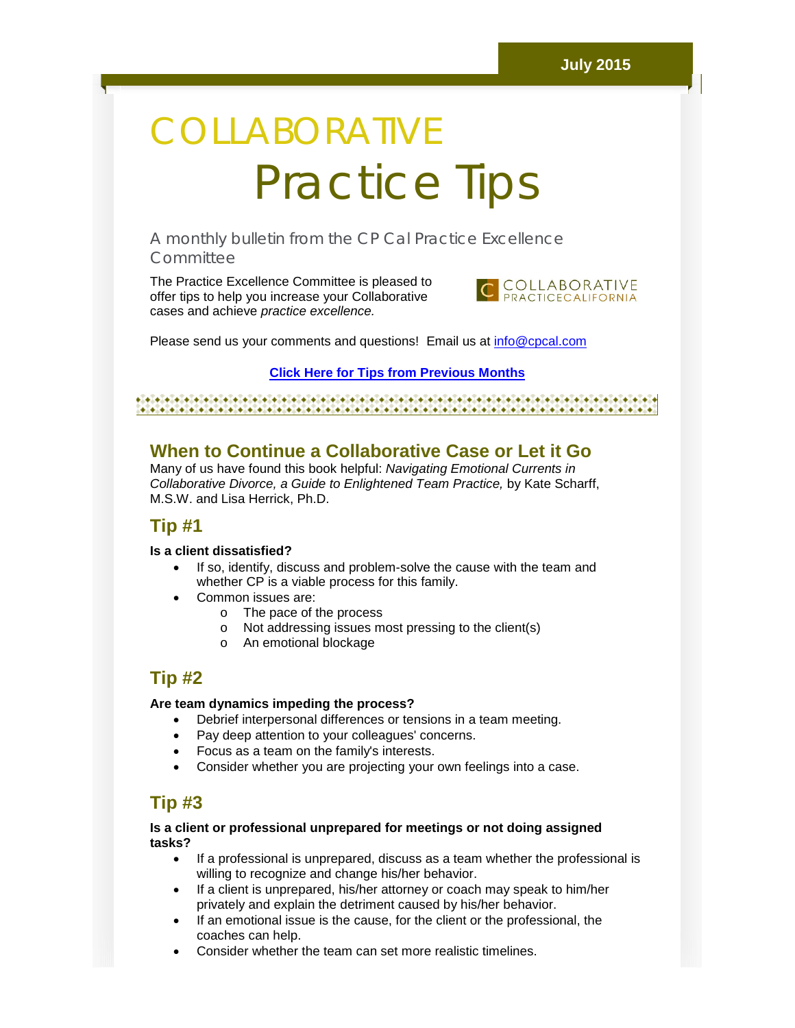# COLLABORATIVE Practice Tips

A monthly bulletin from the CP Cal Practice Excellence **Committee** 

The Practice Excellence Committee is pleased to offer tips to help you increase your Collaborative cases and achieve *practice excellence.*



Please send us your comments and questions! Email us at [info@cpcal.com](mailto:info@cpcal.com)

**[Click Here for Tips from Previous Months](http://r20.rs6.net/tn.jsp?e=001M8A4WS6QHGJreemEEypnAdogsPq2Iv-Nh96LmyrIUD49nO-xIr1mqAT2KkeRj40LQNDQS-shosULpD3fy6qmVea8t-tfHNJ4pDe9GNWIM3tzw9jwa5WwsJy7o2yUY2u2QGLhzQde-io-dXZNMUhnPMb53rGMqR9mHiaulJuws2Zmpa4j60VWog==)**

## 

## **When to Continue a Collaborative Case or Let it Go**

Many of us have found this book helpful: *Navigating Emotional Currents in Collaborative Divorce, a Guide to Enlightened Team Practice,* by Kate Scharff, M.S.W. and Lisa Herrick, Ph.D.

## **Tip #1**

#### **Is a client dissatisfied?**

- If so, identify, discuss and problem-solve the cause with the team and whether CP is a viable process for this family.
- Common issues are:
	- o The pace of the process
	- o Not addressing issues most pressing to the client(s)
	- o An emotional blockage

## **Tip #2**

#### **Are team dynamics impeding the process?**

- Debrief interpersonal differences or tensions in a team meeting.
- Pay deep attention to your colleagues' concerns.
- Focus as a team on the family's interests.
- Consider whether you are projecting your own feelings into a case.

## **Tip #3**

#### **Is a client or professional unprepared for meetings or not doing assigned tasks?**

- If a professional is unprepared, discuss as a team whether the professional is willing to recognize and change his/her behavior.
- If a client is unprepared, his/her attorney or coach may speak to him/her privately and explain the detriment caused by his/her behavior.
- If an emotional issue is the cause, for the client or the professional, the coaches can help.
- Consider whether the team can set more realistic timelines.